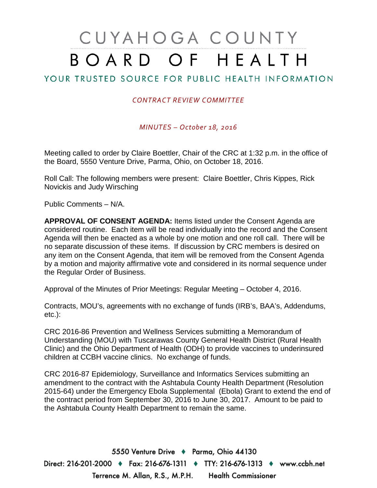# CUYAHOGA COUNTY BOARD OF HEALTH

# YOUR TRUSTED SOURCE FOR PUBLIC HEALTH INFORMATION

### *CONTRACT REVIEW COMMITTEE*

*MINUTES – October 18, 2016*

Meeting called to order by Claire Boettler, Chair of the CRC at 1:32 p.m. in the office of the Board, 5550 Venture Drive, Parma, Ohio, on October 18, 2016.

Roll Call: The following members were present: Claire Boettler, Chris Kippes, Rick Novickis and Judy Wirsching

Public Comments – N/A.

**APPROVAL OF CONSENT AGENDA:** Items listed under the Consent Agenda are considered routine. Each item will be read individually into the record and the Consent Agenda will then be enacted as a whole by one motion and one roll call. There will be no separate discussion of these items. If discussion by CRC members is desired on any item on the Consent Agenda, that item will be removed from the Consent Agenda by a motion and majority affirmative vote and considered in its normal sequence under the Regular Order of Business.

Approval of the Minutes of Prior Meetings: Regular Meeting – October 4, 2016.

Contracts, MOU's, agreements with no exchange of funds (IRB's, BAA's, Addendums, etc.):

CRC 2016-86 Prevention and Wellness Services submitting a Memorandum of Understanding (MOU) with Tuscarawas County General Health District (Rural Health Clinic) and the Ohio Department of Health (ODH) to provide vaccines to underinsured children at CCBH vaccine clinics. No exchange of funds.

CRC 2016-87 Epidemiology, Surveillance and Informatics Services submitting an amendment to the contract with the Ashtabula County Health Department (Resolution 2015-64) under the Emergency Ebola Supplemental (Ebola) Grant to extend the end of the contract period from September 30, 2016 to June 30, 2017. Amount to be paid to the Ashtabula County Health Department to remain the same.

5550 Venture Drive + Parma, Ohio 44130 Direct: 216-201-2000 ♦ Fax: 216-676-1311 ♦ TTY: 216-676-1313 ♦ www.ccbh.net Terrence M. Allan, R.S., M.P.H. Health Commissioner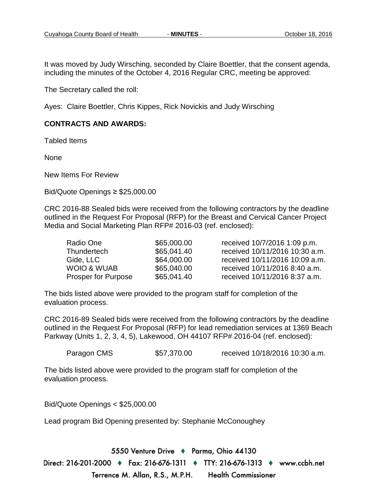It was moved by Judy Wirsching, seconded by Claire Boettler, that the consent agenda, including the minutes of the October 4, 2016 Regular CRC, meeting be approved:

The Secretary called the roll:

Ayes: Claire Boettler, Chris Kippes, Rick Novickis and Judy Wirsching

#### **CONTRACTS AND AWARDS:**

Tabled Items

None

New Items For Review

Bid/Quote Openings ≥ \$25,000.00

CRC 2016-88 Sealed bids were received from the following contractors by the deadline outlined in the Request For Proposal (RFP) for the Breast and Cervical Cancer Project Media and Social Marketing Plan RFP# 2016-03 (ref. enclosed):

| Radio One                  | \$65,000.00 | received 10/7/2016 1:09 p.m.   |
|----------------------------|-------------|--------------------------------|
| Thundertech                | \$65,041.40 | received 10/11/2016 10:30 a.m. |
| Gide, LLC                  | \$64,000.00 | received 10/11/2016 10:09 a.m. |
| WOIO & WUAB                | \$65,040.00 | received 10/11/2016 8:40 a.m.  |
| <b>Prosper for Purpose</b> | \$65,041.40 | received 10/11/2016 8:37 a.m.  |

The bids listed above were provided to the program staff for completion of the evaluation process.

CRC 2016-89 Sealed bids were received from the following contractors by the deadline outlined in the Request For Proposal (RFP) for lead remediation services at 1369 Beach Parkway (Units 1, 2, 3, 4, 5), Lakewood, OH 44107 RFP# 2016-04 (ref. enclosed):

Paragon CMS \$57,370.00 received 10/18/2016 10:30 a.m.

The bids listed above were provided to the program staff for completion of the evaluation process.

Bid/Quote Openings < \$25,000.00

Lead program Bid Opening presented by: Stephanie McConoughey

5550 Venture Drive + Parma, Ohio 44130 Direct: 216-201-2000 ♦ Fax: 216-676-1311 ♦ TTY: 216-676-1313 ♦ www.ccbh.net Terrence M. Allan, R.S., M.P.H. **Health Commissioner**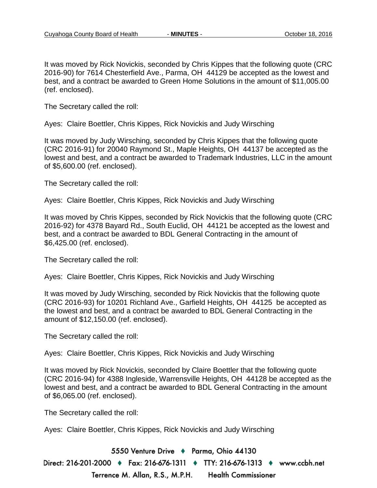It was moved by Rick Novickis, seconded by Chris Kippes that the following quote (CRC 2016-90) for 7614 Chesterfield Ave., Parma, OH 44129 be accepted as the lowest and best, and a contract be awarded to Green Home Solutions in the amount of \$11,005.00 (ref. enclosed).

The Secretary called the roll:

Ayes: Claire Boettler, Chris Kippes, Rick Novickis and Judy Wirsching

It was moved by Judy Wirsching, seconded by Chris Kippes that the following quote (CRC 2016-91) for 20040 Raymond St., Maple Heights, OH 44137 be accepted as the lowest and best, and a contract be awarded to Trademark Industries, LLC in the amount of \$5,600.00 (ref. enclosed).

The Secretary called the roll:

Ayes: Claire Boettler, Chris Kippes, Rick Novickis and Judy Wirsching

It was moved by Chris Kippes, seconded by Rick Novickis that the following quote (CRC 2016-92) for 4378 Bayard Rd., South Euclid, OH 44121 be accepted as the lowest and best, and a contract be awarded to BDL General Contracting in the amount of \$6,425.00 (ref. enclosed).

The Secretary called the roll:

Ayes: Claire Boettler, Chris Kippes, Rick Novickis and Judy Wirsching

It was moved by Judy Wirsching, seconded by Rick Novickis that the following quote (CRC 2016-93) for 10201 Richland Ave., Garfield Heights, OH 44125 be accepted as the lowest and best, and a contract be awarded to BDL General Contracting in the amount of \$12,150.00 (ref. enclosed).

The Secretary called the roll:

Ayes: Claire Boettler, Chris Kippes, Rick Novickis and Judy Wirsching

It was moved by Rick Novickis, seconded by Claire Boettler that the following quote (CRC 2016-94) for 4388 Ingleside, Warrensville Heights, OH 44128 be accepted as the lowest and best, and a contract be awarded to BDL General Contracting in the amount of \$6,065.00 (ref. enclosed).

The Secretary called the roll:

Ayes: Claire Boettler, Chris Kippes, Rick Novickis and Judy Wirsching

5550 Venture Drive + Parma, Ohio 44130 Direct: 216-201-2000 ♦ Fax: 216-676-1311 ♦ TTY: 216-676-1313 ♦ www.ccbh.net Terrence M. Allan, R.S., M.P.H. **Health Commissioner**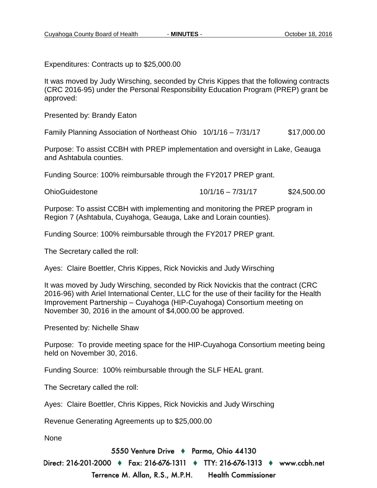Expenditures: Contracts up to \$25,000.00

It was moved by Judy Wirsching, seconded by Chris Kippes that the following contracts (CRC 2016-95) under the Personal Responsibility Education Program (PREP) grant be approved:

Presented by: Brandy Eaton

Family Planning Association of Northeast Ohio 10/1/16 – 7/31/17 \$17,000.00

Purpose: To assist CCBH with PREP implementation and oversight in Lake, Geauga and Ashtabula counties.

Funding Source: 100% reimbursable through the FY2017 PREP grant.

| <b>OhioGuidestone</b> | $10/1/16 - 7/31/17$ | \$24,500.00 |
|-----------------------|---------------------|-------------|
|-----------------------|---------------------|-------------|

Purpose: To assist CCBH with implementing and monitoring the PREP program in Region 7 (Ashtabula, Cuyahoga, Geauga, Lake and Lorain counties).

Funding Source: 100% reimbursable through the FY2017 PREP grant.

The Secretary called the roll:

Ayes: Claire Boettler, Chris Kippes, Rick Novickis and Judy Wirsching

It was moved by Judy Wirsching, seconded by Rick Novickis that the contract (CRC 2016-96) with Ariel International Center, LLC for the use of their facility for the Health Improvement Partnership – Cuyahoga (HIP-Cuyahoga) Consortium meeting on November 30, 2016 in the amount of \$4,000.00 be approved.

Presented by: Nichelle Shaw

Purpose: To provide meeting space for the HIP-Cuyahoga Consortium meeting being held on November 30, 2016.

Funding Source: 100% reimbursable through the SLF HEAL grant.

The Secretary called the roll:

Ayes: Claire Boettler, Chris Kippes, Rick Novickis and Judy Wirsching

Revenue Generating Agreements up to \$25,000.00

None

5550 Venture Drive + Parma, Ohio 44130

Direct: 216-201-2000 ♦ Fax: 216-676-1311 ♦ TTY: 216-676-1313 ♦ www.ccbh.net

Terrence M. Allan, R.S., M.P.H. **Health Commissioner**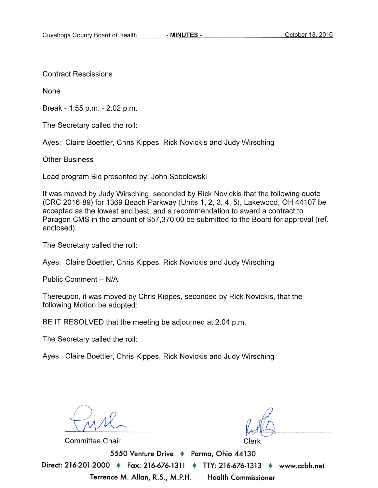**Contract Rescissions** 

None

Break - 1:55 p.m. - 2:02 p.m.

The Secretary called the roll:

Ayes: Claire Boettler, Chris Kippes, Rick Novickis and Judy Wirsching

**Other Business** 

Lead program Bid presented by: John Sobolewski

It was moved by Judy Wirsching, seconded by Rick Novickis that the following quote (CRC 2016-89) for 1369 Beach Parkway (Units 1, 2, 3, 4, 5), Lakewood, OH 44107 be accepted as the lowest and best, and a recommendation to award a contract to Paragon CMS in the amount of \$57,370.00 be submitted to the Board for approval (ref. enclosed).

The Secretary called the roll:

Ayes: Claire Boettler, Chris Kippes, Rick Novickis and Judy Wirsching

Public Comment - N/A.

Thereupon, it was moved by Chris Kippes, seconded by Rick Novickis, that the following Motion be adopted:

BE IT RESOLVED that the meeting be adjourned at 2:04 p.m.

The Secretary called the roll:

Ayes: Claire Boettler, Chris Kippes, Rick Novickis and Judy Wirsching

**Committee Chair** 

Clerk

5550 Venture Drive + Parma, Ohio 44130 Direct: 216-201-2000 + Fax: 216-676-1311 + TTY: 216-676-1313 ♦ www.ccbh.net Terrence M. Allan, R.S., M.P.H. **Health Commissioner**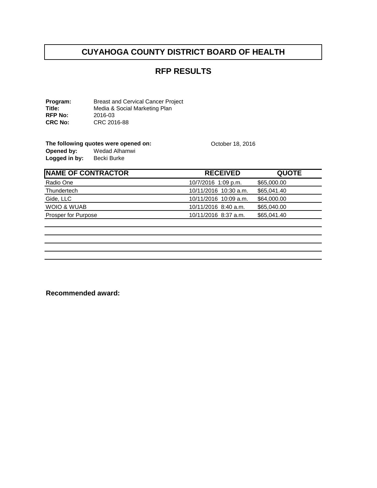# **RFP RESULTS**

**Program:** Breast and Cervical Cancer Project<br> **Title:** Media & Social Marketing Plan Media & Social Marketing Plan<br>2016-03 **RFP No:<br>CRC No: CRC No:** CRC 2016-88

The following quotes were opened on: <br>
October 18, 2016<br>
Opened by: Wedad Alhamwi **Opened by:** Wedad Alhamwi Logged in by: Becki Burke

| <b>NAME OF CONTRACTOR</b> | <b>RECEIVED</b>       | <b>QUOTE</b> |
|---------------------------|-----------------------|--------------|
| Radio One                 | 10/7/2016 1:09 p.m.   | \$65,000.00  |
| <b>Thundertech</b>        | 10/11/2016 10:30 a.m. | \$65,041.40  |
| Gide, LLC                 | 10/11/2016 10:09 a.m. | \$64,000.00  |
| WOIO & WUAB               | 10/11/2016 8:40 a.m.  | \$65,040.00  |
| Prosper for Purpose       | 10/11/2016 8:37 a.m.  | \$65,041.40  |
|                           |                       |              |

**Recommended award:**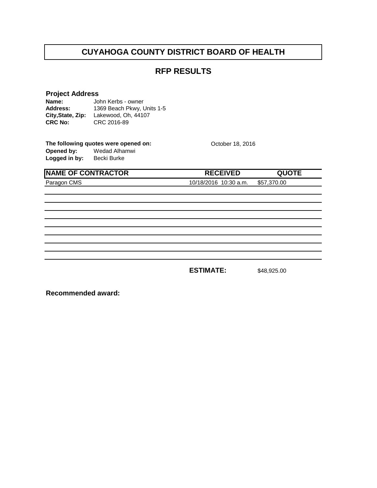# **RFP RESULTS**

**Project Address**<br>**Name:** John Kerbs - owner **Name: Address: City,State, Zip:** Lakewood, Oh, 44107**CRC No:** CRC 2016-89 John Kerbs - owner 1369 Beach Pkwy, Units 1-5

The following quotes were opened on: <br>
October 18, 2016<br>
Opened by: Wedad Alhamwi **Opened by:** Wedad Alhamwi Logged in by: Becki Burke

| <b>NAME OF CONTRACTOR</b> | <b>RECEIVED</b>                   | <b>QUOTE</b> |
|---------------------------|-----------------------------------|--------------|
| Paragon CMS               | 10/18/2016 10:30 a.m. \$57,370.00 |              |
|                           |                                   |              |
|                           |                                   |              |
|                           |                                   |              |
|                           |                                   |              |
|                           |                                   |              |
|                           |                                   |              |

**ESTIMATE:** \$48,925.00

**Recommended award:**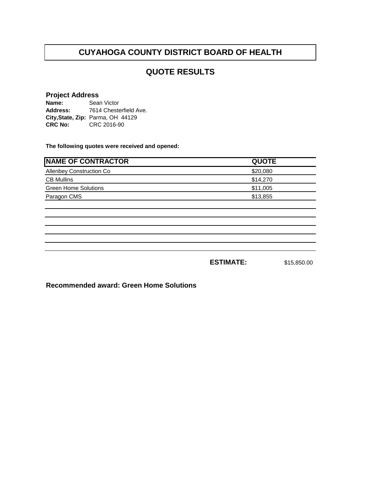# **QUOTE RESULTS**

#### **Project Address**

| Name:          | Sean Victor                       |
|----------------|-----------------------------------|
| Address:       | 7614 Chesterfield Ave.            |
|                | City, State, Zip: Parma, OH 44129 |
| <b>CRC No:</b> | CRC 2016-90                       |

**The following quotes were received and opened:**

| <b>NAME OF CONTRACTOR</b>   | <b>QUOTE</b> |
|-----------------------------|--------------|
| Allenbey Construction Co    | \$20,080     |
| <b>CB Mullins</b>           | \$14,270     |
| <b>Green Home Solutions</b> | \$11,005     |
| Paragon CMS                 | \$13,855     |
|                             |              |
|                             |              |
|                             |              |
|                             |              |
|                             |              |
|                             |              |
|                             |              |

**ESTIMATE:** \$15,850.00

**Recommended award: Green Home Solutions**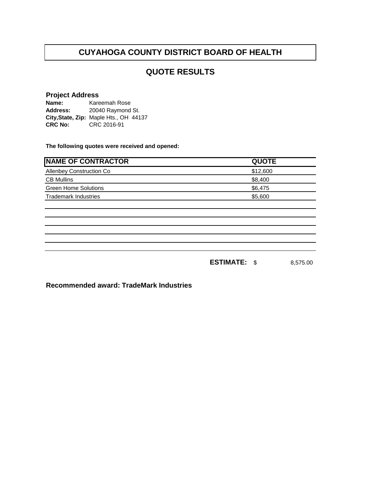# **QUOTE RESULTS**

#### **Project Address**

| Name:          | Kareemah Rose                          |  |
|----------------|----------------------------------------|--|
| Address:       | 20040 Raymond St.                      |  |
|                | City, State, Zip: Maple Hts., OH 44137 |  |
| <b>CRC No:</b> | CRC 2016-91                            |  |

**The following quotes were received and opened:**

| <b>NAME OF CONTRACTOR</b>   | <b>QUOTE</b> |
|-----------------------------|--------------|
| Allenbey Construction Co    | \$12,600     |
| <b>CB Mullins</b>           | \$8,400      |
| <b>Green Home Solutions</b> | \$6,475      |
| <b>Trademark Industries</b> | \$5,600      |
|                             |              |
|                             |              |
|                             |              |
|                             |              |
|                             |              |
|                             |              |
|                             | 0.575.00     |

**ESTIMATE:** \$ 8,575.00

**Recommended award: TradeMark Industries**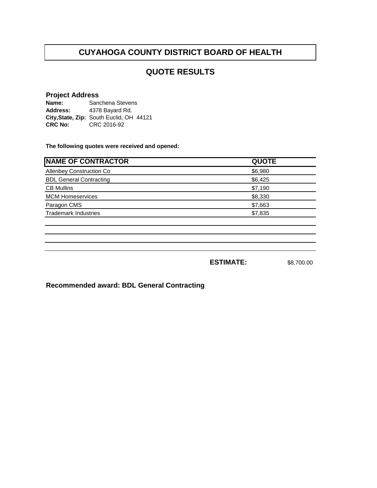# **QUOTE RESULTS**

#### **Project Address**

**Name: Address:** City, State, Zip: South Euclid, OH 44121 **CRC No:** CRC 2016-92 Sanchena Stevens 4378 Bayard Rd.

**The following quotes were received and opened:**

| <b>NAME OF CONTRACTOR</b>      | <b>QUOTE</b> |
|--------------------------------|--------------|
| Allenbey Construction Co       | \$6,980      |
| <b>BDL General Contracting</b> | \$6,425      |
| <b>CB Mullins</b>              | \$7,190      |
| <b>MCM Homeservices</b>        | \$8,330      |
| Paragon CMS                    | \$7,663      |
| <b>Trademark Industries</b>    | \$7,835      |
|                                |              |
|                                |              |

**ESTIMATE:** \$8,700.00

**Recommended award: BDL General Contracting**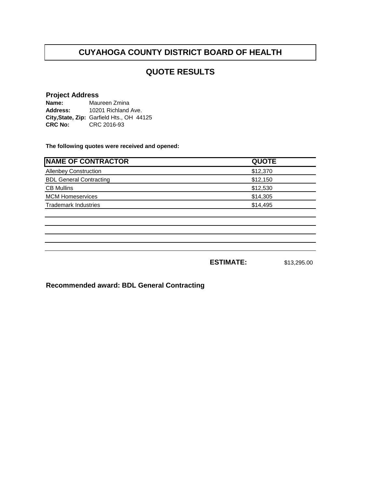# **QUOTE RESULTS**

#### **Project Address**

**Name: Address: City,State, Zip:** Garfield Hts., OH 44125**CRC No:** CRC 2016-93 Maureen Zmina 10201 Richland Ave.

**The following quotes were received and opened:**

| <b>QUOTE</b> |
|--------------|
| \$12,370     |
| \$12,150     |
| \$12,530     |
| \$14,305     |
| \$14,495     |
|              |
|              |

**ESTIMATE:** \$13,295.00

**Recommended award: BDL General Contracting**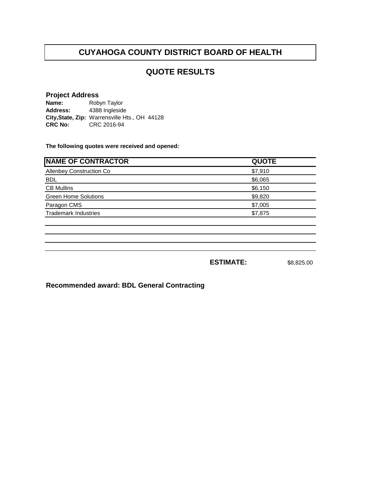## **QUOTE RESULTS**

#### **Project Address**

**Name: Address: City,State, Zip:** Warrensville Hts., OH 44128**CRC No:** CRC 2016-94 Robyn Taylor 4388 Ingleside

**The following quotes were received and opened:**

| <b>NAME OF CONTRACTOR</b>       | <b>QUOTE</b> |
|---------------------------------|--------------|
| <b>Allenbey Construction Co</b> | \$7,910      |
| <b>BDL</b>                      | \$6,065      |
| <b>CB Mullins</b>               | \$6,150      |
| <b>Green Home Solutions</b>     | \$9,820      |
| Paragon CMS                     | \$7,005      |
| <b>Trademark Industries</b>     | \$7,875      |
|                                 |              |
|                                 |              |

**ESTIMATE:** \$8,825.00

**Recommended award: BDL General Contracting**